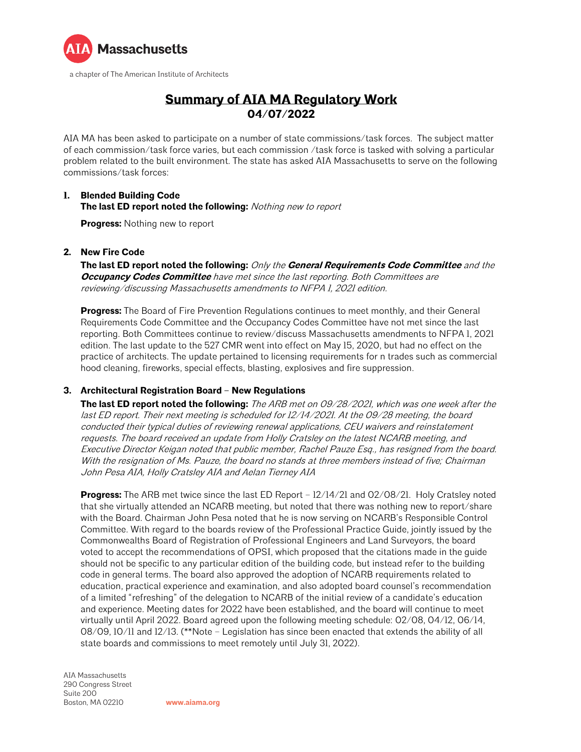

# **Summary of AIA MA Regulatory Work 04/07/2022**

AIA MA has been asked to participate on a number of state commissions/task forces. The subject matter of each commission/task force varies, but each commission /task force is tasked with solving a particular problem related to the built environment. The state has asked AIA Massachusetts to serve on the following commissions/task forces:

#### **1. Blended Building Code The last ED report noted the following:** Nothing new to report

**Progress:** Nothing new to report

#### **2. New Fire Code**

**The last ED report noted the following:** Only the **General Requirements Code Committee** and the **Occupancy Codes Committee** have met since the last reporting. Both Committees are reviewing/discussing Massachusetts amendments to NFPA 1, 2021 edition.

**Progress:** The Board of Fire Prevention Regulations continues to meet monthly, and their General Requirements Code Committee and the Occupancy Codes Committee have not met since the last reporting. Both Committees continue to review/discuss Massachusetts amendments to NFPA 1, 2021 edition. The last update to the 527 CMR went into effect on May 15, 2020, but had no effect on the practice of architects. The update pertained to licensing requirements for n trades such as commercial hood cleaning, fireworks, special effects, blasting, explosives and fire suppression.

### **3. Architectural Registration Board – New Regulations**

**The last ED report noted the following:** The ARB met on 09/28/2021, which was one week after the last ED report. Their next meeting is scheduled for 12/14/2021. At the 09/28 meeting, the board conducted their typical duties of reviewing renewal applications, CEU waivers and reinstatement requests. The board received an update from Holly Cratsley on the latest NCARB meeting, and Executive Director Keigan noted that public member, Rachel Pauze Esq., has resigned from the board. With the resignation of Ms. Pauze, the board no stands at three members instead of five; Chairman John Pesa AIA, Holly Cratsley AIA and Aelan Tierney AIA

**Progress:** The ARB met twice since the last ED Report – 12/14/21 and 02/08/21. Holy Cratsley noted that she virtually attended an NCARB meeting, but noted that there was nothing new to report/share with the Board. Chairman John Pesa noted that he is now serving on NCARB's Responsible Control Committee. With regard to the boards review of the Professional Practice Guide, jointly issued by the Commonwealths Board of Registration of Professional Engineers and Land Surveyors, the board voted to accept the recommendations of OPSI, which proposed that the citations made in the guide should not be specific to any particular edition of the building code, but instead refer to the building code in general terms. The board also approved the adoption of NCARB requirements related to education, practical experience and examination, and also adopted board counsel's recommendation of a limited "refreshing" of the delegation to NCARB of the initial review of a candidate's education and experience. Meeting dates for 2022 have been established, and the board will continue to meet virtually until April 2022. Board agreed upon the following meeting schedule: 02/08, 04/12, 06/14, 08/09, 10/11 and 12/13. (\*\*Note – Legislation has since been enacted that extends the ability of all state boards and commissions to meet remotely until July 31, 2022).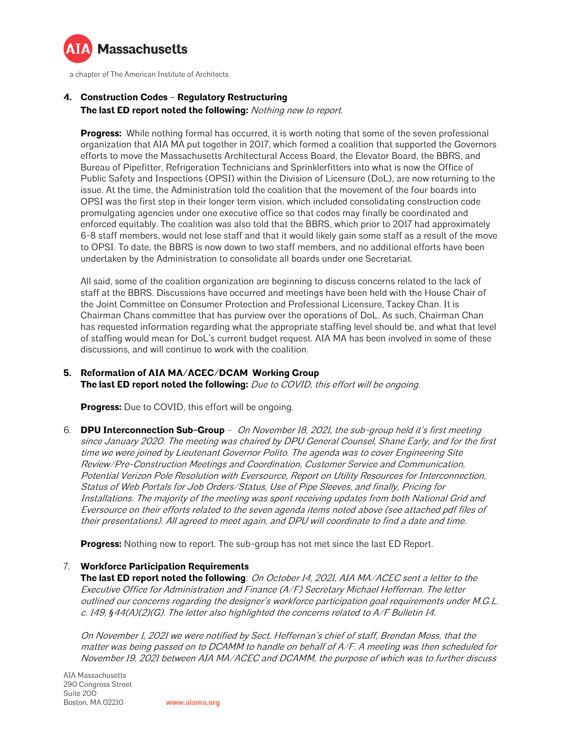

## **4. Construction Codes – Regulatory Restructuring**

**The last ED report noted the following:** Nothing new to report.

**Progress:** While nothing formal has occurred, it is worth noting that some of the seven professional organization that AIA MA put together in 2017, which formed a coalition that supported the Governors efforts to move the Massachusetts Architectural Access Board, the Elevator Board, the BBRS, and Bureau of Pipefitter, Refrigeration Technicians and Sprinklerfitters into what is now the Office of Public Safety and Inspections (OPSI) within the Division of Licensure (DoL), are now returning to the issue. At the time, the Administration told the coalition that the movement of the four boards into OPSI was the first step in their longer term vision, which included consolidating construction code promulgating agencies under one executive office so that codes may finally be coordinated and enforced equitably. The coalition was also told that the BBRS, which prior to 2017 had approximately 6-8 staff members, would not lose staff and that it would likely gain some staff as a result of the move to OPSI. To date, the BBRS is now down to two staff members, and no additional efforts have been undertaken by the Administration to consolidate all boards under one Secretariat.

All said, some of the coalition organization are beginning to discuss concerns related to the lack of staff at the BBRS. Discussions have occurred and meetings have been held with the House Chair of the Joint Committee on Consumer Protection and Professional Licensure, Tackey Chan. It is Chairman Chans committee that has purview over the operations of DoL. As such, Chairman Chan has requested information regarding what the appropriate staffing level should be, and what that level of staffing would mean for DoL's current budget request. AIA MA has been involved in some of these discussions, and will continue to work with the coalition.

## **5. Reformation of AIA MA/ACEC/DCAM Working Group**

**The last ED report noted the following:** Due to COVID, this effort will be ongoing.

**Progress:** Due to COVID, this effort will be ongoing.

6. **DPU Interconnection Sub-Group** – On November 18, 2021, the sub-group held it's first meeting since January 2020. The meeting was chaired by DPU General Counsel, Shane Early, and for the first time we were joined by Lieutenant Governor Polito. The agenda was to cover Engineering Site Review/Pre-Construction Meetings and Coordination, Customer Service and Communication, Potential Verizon Pole Resolution with Eversource, Report on Utility Resources for Interconnection, Status of Web Portals for Job Orders/Status, Use of Pipe Sleeves, and finally, Pricing for Installations. The majority of the meeting was spent receiving updates from both National Grid and Eversource on their efforts related to the seven agenda items noted above (see attached pdf files of their presentations). All agreed to meet again, and DPU will coordinate to find a date and time.

**Progress:** Nothing new to report. The sub-group has not met since the last ED Report.

### 7. **Workforce Participation Requirements**

**The last ED report noted the following**: On October 14, 2021, AIA MA/ACEC sent a letter to the Executive Office for Administration and Finance (A/F) Secretary Michael Heffernan. The letter outlined our concerns regarding the designer's workforce participation goal requirements under M.G.L. c. 149, *§*44(A)(2)(G). The letter also highlighted the concerns related to A/F Bulletin 14.

On November 1, 2021 we were notified by Sect. Heffernan's chief of staff, Brendan Moss, that the matter was being passed on to DCAMM to handle on behalf of A/F. A meeting was then scheduled for November 19, 2021 between AIA MA/ACEC and DCAMM, the purpose of which was to further discuss

AIA Massachusetts 290 Congress Street Suite 200 Boston, MA 02210 **[www.aiama.org](http://www.aiama.org/)**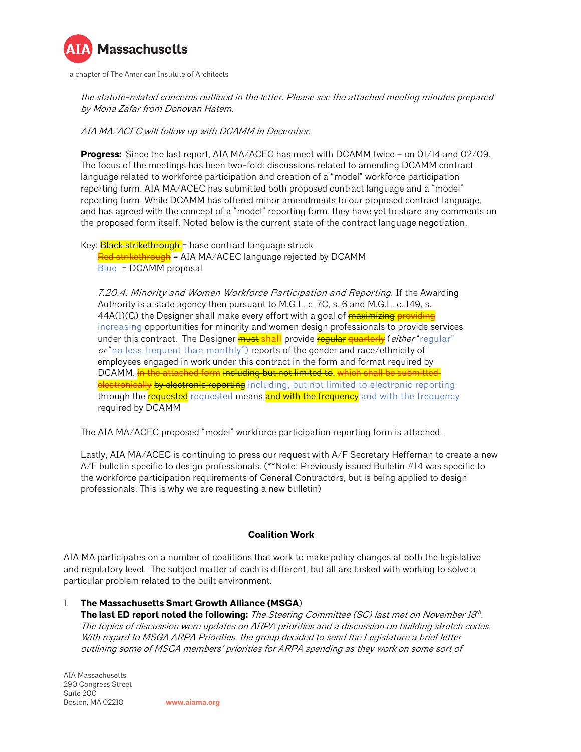

the statute-related concerns outlined in the letter. Please see the attached meeting minutes prepared by Mona Zafar from Donovan Hatem.

AIA MA/ACEC will follow up with DCAMM in December.

**Progress:** Since the last report, AIA MA/ACEC has meet with DCAMM twice – on 01/14 and 02/09. The focus of the meetings has been two-fold: discussions related to amending DCAMM contract language related to workforce participation and creation of a "model" workforce participation reporting form. AIA MA/ACEC has submitted both proposed contract language and a "model" reporting form. While DCAMM has offered minor amendments to our proposed contract language, and has agreed with the concept of a "model" reporting form, they have yet to share any comments on the proposed form itself. Noted below is the current state of the contract language negotiation.

Key: **Black strikethrough** = base contract language struck Red strikethrough = AIA MA/ACEC language rejected by DCAMM Blue = DCAMM proposal

7.20.4. Minority and Women Workforce Participation and Reporting. If the Awarding Authority is a state agency then pursuant to M.G.L. c. 7C, s. 6 and M.G.L. c. 149, s. 44A(1)(G) the Designer shall make every effort with a goal of **maximizing providing** increasing opportunities for minority and women design professionals to provide services under this contract. The Designer **must shall** provide regular quarterly (*either* "regular"  $or$  "no less frequent than monthly") reports of the gender and race/ethnicity of employees engaged in work under this contract in the form and format required by DCAMM, in the attached form including but not limited to, which shall be submitted electronically by electronic reporting including, but not limited to electronic reporting through the requested requested means and with the frequency and with the frequency required by DCAMM

The AIA MA/ACEC proposed "model" workforce participation reporting form is attached.

Lastly, AIA MA/ACEC is continuing to press our request with A/F Secretary Heffernan to create a new A/F bulletin specific to design professionals. (\*\*Note: Previously issued Bulletin #14 was specific to the workforce participation requirements of General Contractors, but is being applied to design professionals. This is why we are requesting a new bulletin)

#### **Coalition Work**

AIA MA participates on a number of coalitions that work to make policy changes at both the legislative and regulatory level. The subject matter of each is different, but all are tasked with working to solve a particular problem related to the built environment.

1. **The Massachusetts Smart Growth Alliance (MSGA**)

**The last ED report noted the following:** The Steering Committee (SC) last met on November 18<sup>th</sup>. The topics of discussion were updates on ARPA priorities and a discussion on building stretch codes. With regard to MSGA ARPA Priorities, the group decided to send the Legislature a brief letter outlining some of MSGA members' priorities for ARPA spending as they work on some sort of

AIA Massachusetts 290 Congress Street Suite 200 Boston, MA 02210 **[www.aiama.org](http://www.aiama.org/)**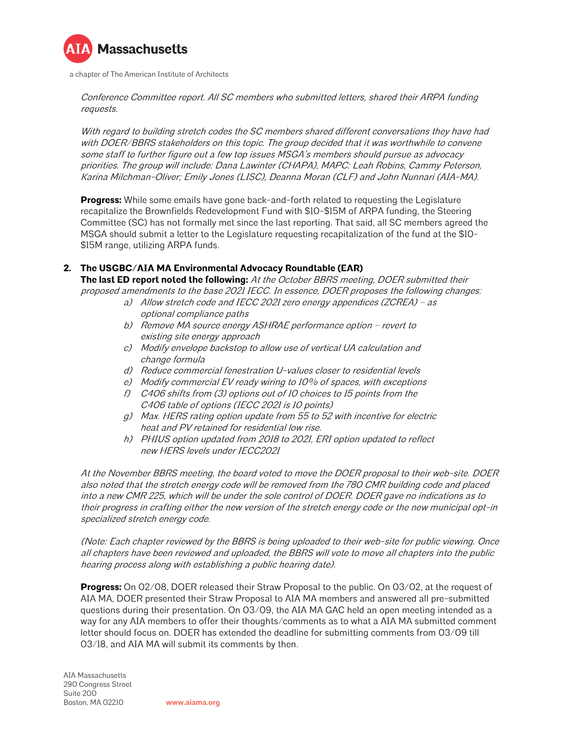

Conference Committee report. All SC members who submitted letters, shared their ARPA funding requests.

With regard to building stretch codes the SC members shared different conversations they have had with DOER/BBRS stakeholders on this topic. The group decided that it was worthwhile to convene some staff to further figure out a few top issues MSGA's members should pursue as advocacy priorities. The group will include: Dana Lawinter (CHAPA), MAPC: Leah Robins, Cammy Peterson, Karina Milchman-Oliver; Emily Jones (LISC), Deanna Moran (CLF) and John Nunnari (AIA-MA).

**Progress:** While some emails have gone back-and-forth related to requesting the Legislature recapitalize the Brownfields Redevelopment Fund with \$10-\$15M of ARPA funding, the Steering Committee (SC) has not formally met since the last reporting. That said, all SC members agreed the MSGA should submit a letter to the Legislature requesting recapitalization of the fund at the \$10- \$15M range, utilizing ARPA funds.

## **2. The USGBC/AIA MA Environmental Advocacy Roundtable (EAR)**

**The last ED report noted the following:** At the October BBRS meeting, DOER submitted their proposed amendments to the base 2021 IECC. In essence, DOER proposes the following changes:

- a) Allow stretch code and IECC 2021 zero energy appendices (ZCREA) as optional compliance paths
- b) Remove MA source energy ASHRAE performance option revert to existing site energy approach
- c) Modify envelope backstop to allow use of vertical UA calculation and change formula
- d) Reduce commercial fenestration U-values closer to residential levels
- e) Modify commercial EV ready wiring to 10% of spaces, with exceptions
- f) C406 shifts from (3) options out of 10 choices to 15 points from the C406 table of options (IECC 2021 is 10 points)
- g) Max. HERS rating option update from 55 to 52 with incentive for electric heat and PV retained for residential low rise.
- h) PHIUS option updated from 2018 to 2021, ERI option updated to reflect new HERS levels under IECC2021

At the November BBRS meeting, the board voted to move the DOER proposal to their web-site. DOER also noted that the stretch energy code will be removed from the 780 CMR building code and placed into a new CMR 225, which will be under the sole control of DOER. DOER gave no indications as to their progress in crafting either the new version of the stretch energy code or the new municipal opt-in specialized stretch energy code.

(Note: Each chapter reviewed by the BBRS is being uploaded to their web-site for public viewing. Once all chapters have been reviewed and uploaded, the BBRS will vote to move all chapters into the public hearing process along with establishing a public hearing date).

**Progress:** On 02/08, DOER released their Straw Proposal to the public. On 03/02, at the request of AIA MA, DOER presented their Straw Proposal to AIA MA members and answered all pre-submitted questions during their presentation. On 03/09, the AIA MA GAC held an open meeting intended as a way for any AIA members to offer their thoughts/comments as to what a AIA MA submitted comment letter should focus on. DOER has extended the deadline for submitting comments from 03/09 till 03/18, and AIA MA will submit its comments by then.